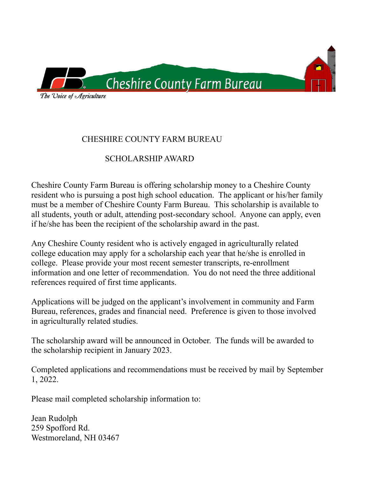

### CHESHIRE COUNTY FARM BUREAU

# SCHOLARSHIP AWARD

Cheshire County Farm Bureau is offering scholarship money to a Cheshire County resident who is pursuing a post high school education. The applicant or his/her family must be a member of Cheshire County Farm Bureau. This scholarship is available to all students, youth or adult, attending post-secondary school. Anyone can apply, even if he/she has been the recipient of the scholarship award in the past.

Any Cheshire County resident who is actively engaged in agriculturally related college education may apply for a scholarship each year that he/she is enrolled in college. Please provide your most recent semester transcripts, re-enrollment information and one letter of recommendation. You do not need the three additional references required of first time applicants.

Applications will be judged on the applicant's involvement in community and Farm Bureau, references, grades and financial need. Preference is given to those involved in agriculturally related studies.

The scholarship award will be announced in October. The funds will be awarded to the scholarship recipient in January 2023.

Completed applications and recommendations must be received by mail by September 1, 2022.

Please mail completed scholarship information to:

Jean Rudolph 259 Spofford Rd. Westmoreland, NH 03467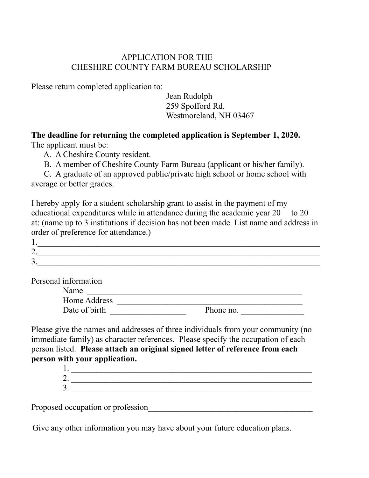### APPLICATION FOR THE CHESHIRE COUNTY FARM BUREAU SCHOLARSHIP

Please return completed application to:

 Jean Rudolph 259 Spofford Rd. Westmoreland, NH 03467

**The deadline for returning the completed application is September 1, 2020.**  The applicant must be:

A. A Cheshire County resident.

B. A member of Cheshire County Farm Bureau (applicant or his/her family).

 C. A graduate of an approved public/private high school or home school with average or better grades.

I hereby apply for a student scholarship grant to assist in the payment of my educational expenditures while in attendance during the academic year 20 to 20 at: (name up to 3 institutions if decision has not been made. List name and address in order of preference for attendance.)

| -<br><u>.</u> |  |
|---------------|--|
| ∽<br>ັ        |  |

Personal information

| Name          |           |
|---------------|-----------|
| Home Address  |           |
| Date of birth | Phone no. |

Please give the names and addresses of three individuals from your community (no immediate family) as character references. Please specify the occupation of each person listed. **Please attach an original signed letter of reference from each person with your application.**

Proposed occupation or profession

Give any other information you may have about your future education plans.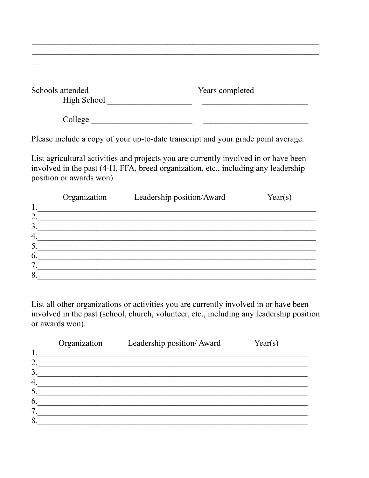| Schools attended | Years completed |
|------------------|-----------------|
| High School      |                 |
| College          |                 |

Please include a copy of your up-to-date transcript and your grade point average.

List agricultural activities and projects you are currently involved in or have been involved in the past (4-H, FFA, breed organization, etc., including any leadership position or awards won).

|                 | Organization | Leadership position/Award | Year(s) |
|-----------------|--------------|---------------------------|---------|
| $\mathbf{1}$    |              |                           |         |
| ႒               |              |                           |         |
| 3               |              |                           |         |
| 4               |              |                           |         |
| $\mathfrak{H}.$ |              |                           |         |
| 6.              |              |                           |         |
| 7               |              |                           |         |
| 8               |              |                           |         |
|                 |              |                           |         |

List all other organizations or activities you are currently involved in or have been involved in the past (school, church, volunteer, etc., including any leadership position or awards won).

|    | Organization | Leadership position/Award | Year(s) |
|----|--------------|---------------------------|---------|
|    |              |                           |         |
| റ  |              |                           |         |
|    |              |                           |         |
|    |              |                           |         |
|    |              |                           |         |
| 6. |              |                           |         |
|    |              |                           |         |
|    |              |                           |         |
|    |              |                           |         |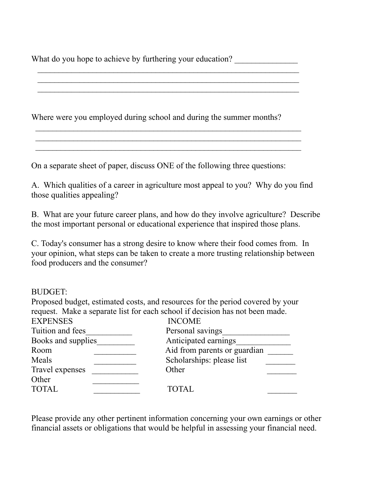What do you hope to achieve by furthering your education?

 $\mathcal{L}_\text{max}$  , and the contribution of the contribution of the contribution of the contribution of the contribution of the contribution of the contribution of the contribution of the contribution of the contribution of t  $\mathcal{L}_\text{max}$  , and the contribution of the contribution of the contribution of the contribution of the contribution of the contribution of the contribution of the contribution of the contribution of the contribution of t  $\mathcal{L}_\text{max}$  , and the contribution of the contribution of the contribution of the contribution of the contribution of the contribution of the contribution of the contribution of the contribution of the contribution of t

Where were you employed during school and during the summer months?  $\mathcal{L}_\text{max} = \frac{1}{2} \sum_{i=1}^n \mathcal{L}_\text{max}(\mathbf{x}_i - \mathbf{y}_i)$ 

On a separate sheet of paper, discuss ONE of the following three questions:

 $\mathcal{L}_\text{max}$  and  $\mathcal{L}_\text{max}$  and  $\mathcal{L}_\text{max}$  and  $\mathcal{L}_\text{max}$  and  $\mathcal{L}_\text{max}$  and  $\mathcal{L}_\text{max}$ 

A. Which qualities of a career in agriculture most appeal to you? Why do you find those qualities appealing?

B. What are your future career plans, and how do they involve agriculture? Describe the most important personal or educational experience that inspired those plans.

C. Today's consumer has a strong desire to know where their food comes from. In your opinion, what steps can be taken to create a more trusting relationship between food producers and the consumer?

#### BUDGET:

Proposed budget, estimated costs, and resources for the period covered by your request. Make a separate list for each school if decision has not been made. EXPENSES INCOME Tuition and fees Tuition and fees

| Books and supplies | Anticipated earnings         |  |
|--------------------|------------------------------|--|
| Room               | Aid from parents or guardian |  |
| Meals              | Scholarships: please list    |  |
| Travel expenses    | Other                        |  |
| Other              |                              |  |
| <b>TOTAL</b>       | <b>TOTAL</b>                 |  |
|                    |                              |  |

Please provide any other pertinent information concerning your own earnings or other financial assets or obligations that would be helpful in assessing your financial need.